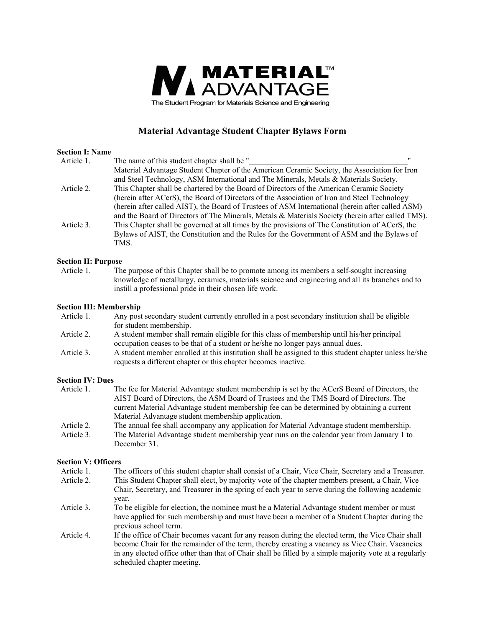

# **Material Advantage Student Chapter Bylaws Form**

#### **Section I: Name**

| Article 1. | The name of this student chapter shall be "                                                       |  |
|------------|---------------------------------------------------------------------------------------------------|--|
|            | Material Advantage Student Chapter of the American Ceramic Society, the Association for Iron      |  |
|            | and Steel Technology, ASM International and The Minerals, Metals & Materials Society.             |  |
| Article 2. | This Chapter shall be chartered by the Board of Directors of the American Ceramic Society         |  |
|            | (herein after ACerS), the Board of Directors of the Association of Iron and Steel Technology      |  |
|            | (herein after called AIST), the Board of Trustees of ASM International (herein after called ASM)  |  |
|            | and the Board of Directors of The Minerals, Metals & Materials Society (herein after called TMS). |  |
| Article 3. | This Chapter shall be governed at all times by the provisions of The Constitution of ACerS, the   |  |
|            | Bylaws of AIST, the Constitution and the Rules for the Government of ASM and the Bylaws of        |  |
|            | TMS.                                                                                              |  |
|            |                                                                                                   |  |

#### **Section II: Purpose**

 Article 1. The purpose of this Chapter shall be to promote among its members a self-sought increasing knowledge of metallurgy, ceramics, materials science and engineering and all its branches and to instill a professional pride in their chosen life work.

#### **Section III: Membership**

- Article 1. Any post secondary student currently enrolled in a post secondary institution shall be eligible for student membership.
- Article 2. A student member shall remain eligible for this class of membership until his/her principal occupation ceases to be that of a student or he/she no longer pays annual dues.
- Article 3. A student member enrolled at this institution shall be assigned to this student chapter unless he/she requests a different chapter or this chapter becomes inactive.

## **Section IV: Dues**

- Article 1. The fee for Material Advantage student membership is set by the ACerS Board of Directors, the AIST Board of Directors, the ASM Board of Trustees and the TMS Board of Directors. The current Material Advantage student membership fee can be determined by obtaining a current Material Advantage student membership application.
- Article 2. The annual fee shall accompany any application for Material Advantage student membership.
- Article 3. The Material Advantage student membership year runs on the calendar year from January 1 to December 31.

## **Section V: Officers**

- Article 1. The officers of this student chapter shall consist of a Chair, Vice Chair, Secretary and a Treasurer.
- Article 2. This Student Chapter shall elect, by majority vote of the chapter members present, a Chair, Vice Chair, Secretary, and Treasurer in the spring of each year to serve during the following academic year.
- Article 3. To be eligible for election, the nominee must be a Material Advantage student member or must have applied for such membership and must have been a member of a Student Chapter during the previous school term.
- Article 4. If the office of Chair becomes vacant for any reason during the elected term, the Vice Chair shall become Chair for the remainder of the term, thereby creating a vacancy as Vice Chair. Vacancies in any elected office other than that of Chair shall be filled by a simple majority vote at a regularly scheduled chapter meeting.